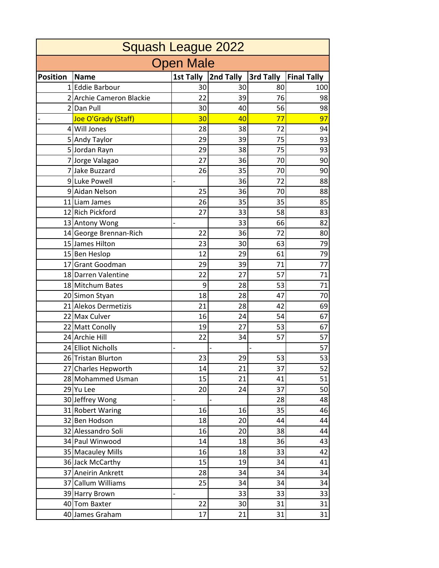| <b>Squash League 2022</b> |                          |                  |           |           |                    |  |  |  |  |
|---------------------------|--------------------------|------------------|-----------|-----------|--------------------|--|--|--|--|
| <b>Open Male</b>          |                          |                  |           |           |                    |  |  |  |  |
| <b>Position</b>           | <b>Name</b>              | <b>1st Tally</b> | 2nd Tally | 3rd Tally | <b>Final Tally</b> |  |  |  |  |
|                           | 1 Eddie Barbour          | 30               | 30        | 80        | 100                |  |  |  |  |
|                           | 2 Archie Cameron Blackie | 22               | 39        | 76        | 98                 |  |  |  |  |
|                           | 2 Dan Pull               | 30               | 40        | 56        | 98                 |  |  |  |  |
|                           | Joe O'Grady (Staff)      | 30               | 40        | 77        | 97                 |  |  |  |  |
|                           | 4 Will Jones             | 28               | 38        | 72        | 94                 |  |  |  |  |
|                           | 5 Andy Taylor            | 29               | 39        | 75        | 93                 |  |  |  |  |
|                           | 5 Jordan Rayn            | 29               | 38        | 75        | 93                 |  |  |  |  |
|                           | 7 Jorge Valagao          | 27               | 36        | 70        | 90                 |  |  |  |  |
|                           | 7 Jake Buzzard           | 26               | 35        | 70        | 90                 |  |  |  |  |
|                           | 9Luke Powell             |                  | 36        | 72        | 88                 |  |  |  |  |
|                           | 9 Aidan Nelson           | 25               | 36        | 70        | 88                 |  |  |  |  |
|                           | 11 Liam James            | 26               | 35        | 35        | 85                 |  |  |  |  |
|                           | 12 Rich Pickford         | 27               | 33        | 58        | 83                 |  |  |  |  |
|                           | 13 Antony Wong           |                  | 33        | 66        | 82                 |  |  |  |  |
|                           | 14 George Brennan-Rich   | 22               | 36        | 72        | 80                 |  |  |  |  |
|                           | 15 James Hilton          | 23               | 30        | 63        | 79                 |  |  |  |  |
|                           | 15 Ben Heslop            | 12               | 29        | 61        | 79                 |  |  |  |  |
|                           | 17 Grant Goodman         | 29               | 39        | 71        | 77                 |  |  |  |  |
|                           | 18 Darren Valentine      | 22               | 27        | 57        | 71                 |  |  |  |  |
|                           | 18 Mitchum Bates         | 9                | 28        | 53        | 71                 |  |  |  |  |
|                           | 20 Simon Styan           | 18               | 28        | 47        | 70                 |  |  |  |  |
|                           | 21 Alekos Dermetizis     | 21               | 28        | 42        | 69                 |  |  |  |  |
|                           | 22 Max Culver            | 16               | 24        | 54        | 67                 |  |  |  |  |
|                           | 22 Matt Conolly          | 19               | 27        | 53        | 67                 |  |  |  |  |
|                           | 24 Archie Hill           | 22               | 34        | 57        | 57                 |  |  |  |  |
|                           | 24 Elliot Nicholls       |                  |           |           | 57                 |  |  |  |  |
|                           | 26 Tristan Blurton       | 23               | 29        | 53        | 53                 |  |  |  |  |
|                           | 27 Charles Hepworth      | 14               | 21        | 37        | 52                 |  |  |  |  |
|                           | 28 Mohammed Usman        | 15               | 21        | 41        | 51                 |  |  |  |  |
|                           | 29 Yu Lee                | 20               | 24        | 37        | 50                 |  |  |  |  |
|                           | 30 Jeffrey Wong          |                  |           | 28        | 48                 |  |  |  |  |
|                           | 31 Robert Waring         | 16               | 16        | 35        | 46                 |  |  |  |  |
|                           | 32 Ben Hodson            | 18               | 20        | 44        | 44                 |  |  |  |  |
|                           | 32 Alessandro Soli       | 16               | 20        | 38        | 44                 |  |  |  |  |
|                           | 34 Paul Winwood          | 14               | 18        | 36        | 43                 |  |  |  |  |
|                           | 35 Macauley Mills        | 16               | 18        | 33        | 42                 |  |  |  |  |
|                           | 36 Jack McCarthy         | 15               | 19        | 34        | 41                 |  |  |  |  |
|                           | 37 Aneirin Ankrett       | 28               | 34        | 34        | 34                 |  |  |  |  |
|                           | 37 Callum Williams       | 25               | 34        | 34        | 34                 |  |  |  |  |
|                           | 39 Harry Brown           |                  | 33        | 33        | 33                 |  |  |  |  |
|                           | 40 Tom Baxter            | 22               | 30        | 31        | 31                 |  |  |  |  |
|                           | 40 James Graham          | 17               | 21        | 31        | 31                 |  |  |  |  |